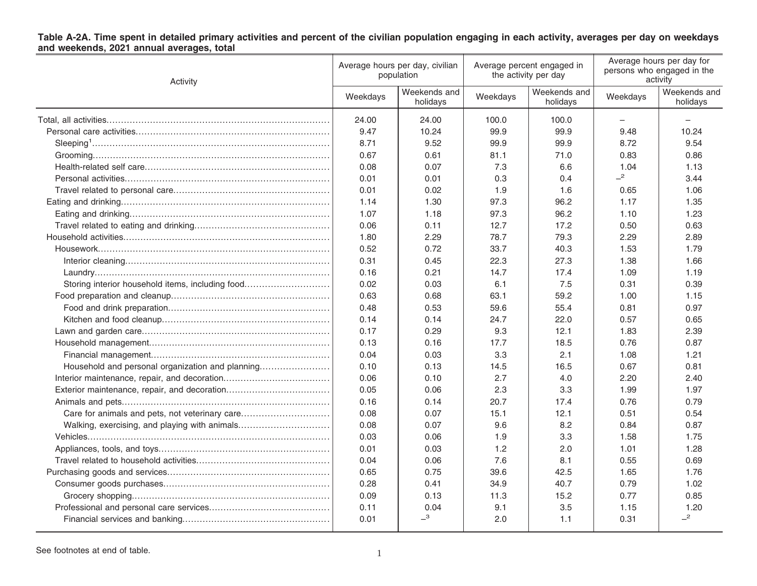# Table A-2A. Time spent in detailed primary activities and percent of the civilian population engaging in each activity, averages per day on weekdays<br>and weekends, 2021 annual averages, total

| Activity                                         | Average hours per day, civilian<br>population |                            | Average percent engaged in<br>the activity per day |                          | Average hours per day for<br>persons who engaged in the<br>activity |                          |
|--------------------------------------------------|-----------------------------------------------|----------------------------|----------------------------------------------------|--------------------------|---------------------------------------------------------------------|--------------------------|
|                                                  | Weekdays                                      | Weekends and<br>holidays   | Weekdays                                           | Weekends and<br>holidays | Weekdays                                                            | Weekends and<br>holidays |
|                                                  | 24.00                                         | 24.00                      | 100.0                                              | 100.0                    |                                                                     |                          |
|                                                  | 9.47                                          | 10.24                      | 99.9                                               | 99.9                     | 9.48                                                                | 10.24                    |
|                                                  | 8.71                                          | 9.52                       | 99.9                                               | 99.9                     | 8.72                                                                | 9.54                     |
|                                                  | 0.67                                          | 0.61                       | 81.1                                               | 71.0                     | 0.83                                                                | 0.86                     |
|                                                  | 0.08                                          | 0.07                       | 7.3                                                | 6.6                      | 1.04                                                                | 1.13                     |
|                                                  | 0.01                                          | 0.01                       | 0.3                                                | 0.4                      | $-2$                                                                | 3.44                     |
|                                                  | 0.01                                          | 0.02                       | 1.9                                                | 1.6                      | 0.65                                                                | 1.06                     |
|                                                  | 1.14                                          | 1.30                       | 97.3                                               | 96.2                     | 1.17                                                                | 1.35                     |
|                                                  | 1.07                                          | 1.18                       | 97.3                                               | 96.2                     | 1.10                                                                | 1.23                     |
|                                                  | 0.06                                          | 0.11                       | 12.7                                               | 17.2                     | 0.50                                                                | 0.63                     |
|                                                  | 1.80                                          | 2.29                       | 78.7                                               | 79.3                     | 2.29                                                                | 2.89                     |
|                                                  | 0.52                                          | 0.72                       | 33.7                                               | 40.3                     | 1.53                                                                | 1.79                     |
|                                                  | 0.31                                          | 0.45                       | 22.3                                               | 27.3                     | 1.38                                                                | 1.66                     |
|                                                  | 0.16                                          | 0.21                       | 14.7                                               | 17.4                     | 1.09                                                                | 1.19                     |
| Storing interior household items, including food | 0.02                                          | 0.03                       | 6.1                                                | 7.5                      | 0.31                                                                | 0.39                     |
|                                                  | 0.63                                          | 0.68                       | 63.1                                               | 59.2                     | 1.00                                                                | 1.15                     |
|                                                  | 0.48                                          | 0.53                       | 59.6                                               | 55.4                     | 0.81                                                                | 0.97                     |
|                                                  | 0.14                                          | 0.14                       | 24.7                                               | 22.0                     | 0.57                                                                | 0.65                     |
|                                                  | 0.17                                          | 0.29                       | 9.3                                                | 12.1                     | 1.83                                                                | 2.39                     |
|                                                  | 0.13                                          | 0.16                       | 17.7                                               | 18.5                     | 0.76                                                                | 0.87                     |
|                                                  | 0.04                                          | 0.03                       | 3.3                                                | 2.1                      | 1.08                                                                | 1.21                     |
| Household and personal organization and planning | 0.10                                          | 0.13                       | 14.5                                               | 16.5                     | 0.67                                                                | 0.81                     |
|                                                  | 0.06                                          | 0.10                       | 2.7                                                | 4.0                      | 2.20                                                                | 2.40                     |
|                                                  | 0.05                                          | 0.06                       | 2.3                                                | 3.3                      | 1.99                                                                | 1.97                     |
|                                                  | 0.16                                          | 0.14                       | 20.7                                               | 17.4                     | 0.76                                                                | 0.79                     |
| Care for animals and pets, not veterinary care   | 0.08                                          | 0.07                       | 15.1                                               | 12.1                     | 0.51                                                                | 0.54                     |
| Walking, exercising, and playing with animals    | 0.08                                          | 0.07                       | 9.6                                                | 8.2                      | 0.84                                                                | 0.87                     |
|                                                  | 0.03                                          | 0.06                       | 1.9                                                | 3.3                      | 1.58                                                                | 1.75                     |
|                                                  | 0.01                                          | 0.03                       | 1.2                                                | 2.0                      | 1.01                                                                | 1.28                     |
|                                                  | 0.04                                          | 0.06                       | 7.6                                                | 8.1                      | 0.55                                                                | 0.69                     |
|                                                  | 0.65                                          | 0.75                       | 39.6                                               | 42.5                     | 1.65                                                                | 1.76                     |
|                                                  | 0.28                                          | 0.41                       | 34.9                                               | 40.7                     | 0.79                                                                | 1.02                     |
|                                                  | 0.09                                          | 0.13                       | 11.3                                               | 15.2                     | 0.77                                                                | 0.85                     |
|                                                  | 0.11                                          | 0.04                       | 9.1                                                | 3.5                      | 1.15                                                                | 1.20                     |
|                                                  | 0.01                                          | $\overline{\phantom{0}}^3$ | 2.0                                                | 1.1                      | 0.31                                                                | $-2$                     |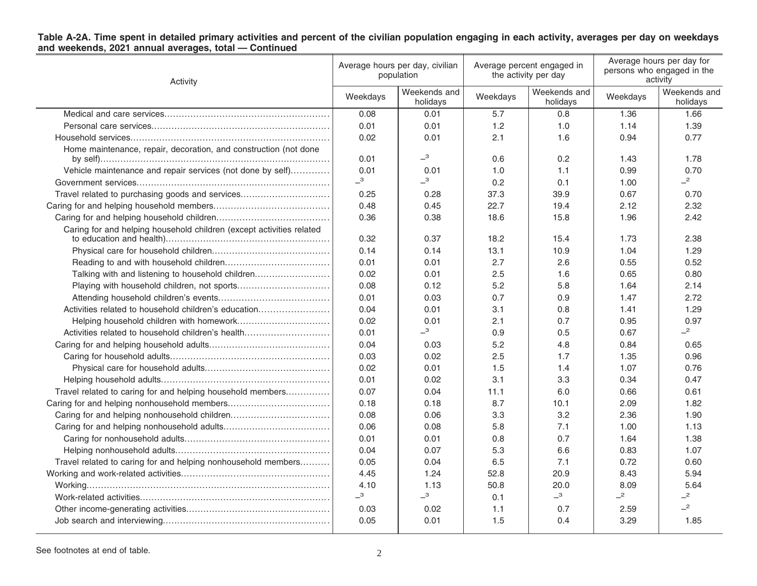| Activity                                                             | Average hours per day, civilian<br>population |                          | Average percent engaged in<br>the activity per day |                          | Average hours per day for<br>persons who engaged in the<br>activity |                          |
|----------------------------------------------------------------------|-----------------------------------------------|--------------------------|----------------------------------------------------|--------------------------|---------------------------------------------------------------------|--------------------------|
|                                                                      | Weekdays                                      | Weekends and<br>holidays | Weekdays                                           | Weekends and<br>holidays | Weekdays                                                            | Weekends and<br>holidays |
|                                                                      | 0.08                                          | 0.01                     | 5.7                                                | 0.8                      | 1.36                                                                | 1.66                     |
|                                                                      | 0.01                                          | 0.01                     | 1.2                                                | 1.0                      | 1.14                                                                | 1.39                     |
|                                                                      | 0.02                                          | 0.01                     | 2.1                                                | 1.6                      | 0.94                                                                | 0.77                     |
| Home maintenance, repair, decoration, and construction (not done     |                                               |                          |                                                    |                          |                                                                     |                          |
|                                                                      | 0.01                                          | $-3$                     | 0.6                                                | 0.2                      | 1.43                                                                | 1.78                     |
| Vehicle maintenance and repair services (not done by self)           | 0.01                                          | 0.01                     | 1.0                                                | 1.1                      | 0.99                                                                | 0.70                     |
|                                                                      | $\overline{\phantom{0}}^3$                    | $-3$                     | 0.2                                                | 0.1                      | 1.00                                                                | $-2$                     |
| Travel related to purchasing goods and services                      | 0.25                                          | 0.28                     | 37.3                                               | 39.9                     | 0.67                                                                | 0.70                     |
|                                                                      | 0.48                                          | 0.45                     | 22.7                                               | 19.4                     | 2.12                                                                | 2.32                     |
|                                                                      | 0.36                                          | 0.38                     | 18.6                                               | 15.8                     | 1.96                                                                | 2.42                     |
| Caring for and helping household children (except activities related | 0.32                                          | 0.37                     | 18.2                                               | 15.4                     | 1.73                                                                | 2.38                     |
|                                                                      | 0.14                                          | 0.14                     | 13.1                                               | 10.9                     | 1.04                                                                | 1.29                     |
|                                                                      | 0.01                                          | 0.01                     | 2.7                                                | 2.6                      | 0.55                                                                | 0.52                     |
| Talking with and listening to household children                     | 0.02                                          | 0.01                     | 2.5                                                | 1.6                      | 0.65                                                                | 0.80                     |
|                                                                      | 0.08                                          | 0.12                     | 5.2                                                | 5.8                      | 1.64                                                                | 2.14                     |
|                                                                      | 0.01                                          | 0.03                     | 0.7                                                | 0.9                      | 1.47                                                                | 2.72                     |
| Activities related to household children's education                 | 0.04                                          | 0.01                     | 3.1                                                | 0.8                      | 1.41                                                                | 1.29                     |
|                                                                      | 0.02                                          | 0.01                     | 2.1                                                | 0.7                      | 0.95                                                                | 0.97                     |
| Activities related to household children's health                    | 0.01                                          | $-3$                     | 0.9                                                | 0.5                      | 0.67                                                                | $-2$                     |
|                                                                      | 0.04                                          | 0.03                     | 5.2                                                | 4.8                      | 0.84                                                                | 0.65                     |
|                                                                      | 0.03                                          | 0.02                     | 2.5                                                | 1.7                      | 1.35                                                                | 0.96                     |
|                                                                      | 0.02                                          | 0.01                     | 1.5                                                | 1.4                      | 1.07                                                                | 0.76                     |
|                                                                      | 0.01                                          | 0.02                     | 3.1                                                | 3.3                      | 0.34                                                                | 0.47                     |
| Travel related to caring for and helping household members           | 0.07                                          | 0.04                     | 11.1                                               | 6.0                      | 0.66                                                                | 0.61                     |
|                                                                      | 0.18                                          | 0.18                     | 8.7                                                | 10.1                     | 2.09                                                                | 1.82                     |
|                                                                      | 0.08                                          | 0.06                     | 3.3                                                | 3.2                      | 2.36                                                                | 1.90                     |
|                                                                      | 0.06                                          | 0.08                     | 5.8                                                | 7.1                      | 1.00                                                                | 1.13                     |
|                                                                      | 0.01                                          | 0.01                     | 0.8                                                | 0.7                      | 1.64                                                                | 1.38                     |
|                                                                      | 0.04                                          | 0.07                     | 5.3                                                | 6.6                      | 0.83                                                                | 1.07                     |
| Travel related to caring for and helping nonhousehold members        | 0.05                                          | 0.04                     | 6.5                                                | 7.1                      | 0.72                                                                | 0.60                     |
|                                                                      | 4.45                                          | 1.24                     | 52.8                                               | 20.9                     | 8.43                                                                | 5.94                     |
|                                                                      | 4.10                                          | 1.13                     | 50.8                                               | 20.0                     | 8.09                                                                | 5.64                     |
|                                                                      | $\overline{\phantom{0}}^3$                    | $-3$                     | 0.1                                                | $-3$                     | $-2$                                                                | $-2$                     |
|                                                                      | 0.03                                          | 0.02                     | 1.1                                                | 0.7                      | 2.59                                                                | $-2$                     |
|                                                                      | 0.05                                          | 0.01                     | 1.5                                                | 0.4                      | 3.29                                                                | 1.85                     |
|                                                                      |                                               |                          |                                                    |                          |                                                                     |                          |

# Table A-2A. Time spent in detailed primary activities and percent of the civilian population engaging in each activity, averages per day on weekdays<br>and weekends, 2021 annual averages, total — Continued

See footnotes at end of table. 2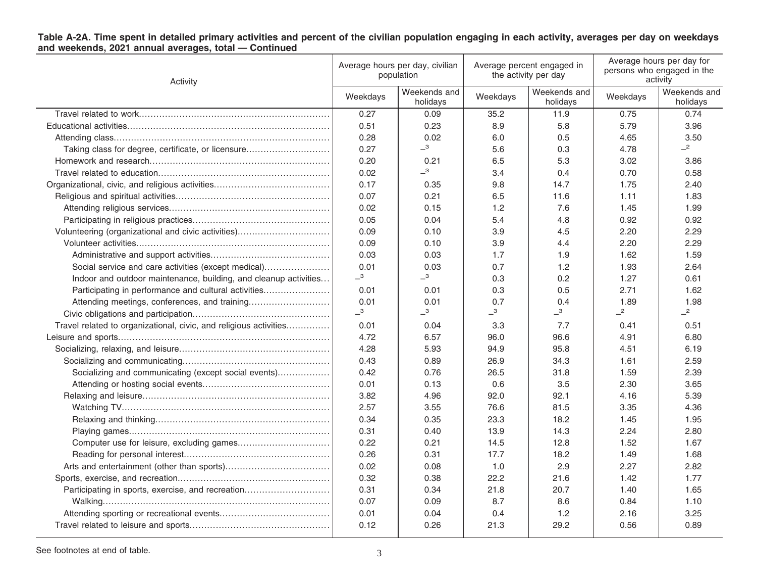| Table A-2A. Time spent in detailed primary activities and percent of the civilian population engaging in each activity, averages per day on weekdays<br>and weekends, 2021 annual averages, total - Continued |  |  |
|---------------------------------------------------------------------------------------------------------------------------------------------------------------------------------------------------------------|--|--|
|                                                                                                                                                                                                               |  |  |
|                                                                                                                                                                                                               |  |  |

| Activity                                                          | Average hours per day, civilian<br>population |                          | Average percent engaged in<br>the activity per day |                          | Average hours per day for<br>persons who engaged in the<br>activity |                          |
|-------------------------------------------------------------------|-----------------------------------------------|--------------------------|----------------------------------------------------|--------------------------|---------------------------------------------------------------------|--------------------------|
|                                                                   | Weekdays                                      | Weekends and<br>holidays | Weekdays                                           | Weekends and<br>holidays | Weekdays                                                            | Weekends and<br>holidays |
|                                                                   | 0.27                                          | 0.09                     | 35.2                                               | 11.9                     | 0.75                                                                | 0.74                     |
|                                                                   | 0.51                                          | 0.23                     | 8.9                                                | 5.8                      | 5.79                                                                | 3.96                     |
|                                                                   | 0.28                                          | 0.02                     | 6.0                                                | 0.5                      | 4.65                                                                | 3.50                     |
| Taking class for degree, certificate, or licensure                | 0.27                                          | $-3$                     | 5.6                                                | 0.3                      | 4.78                                                                | $-2$                     |
|                                                                   | 0.20                                          | 0.21                     | 6.5                                                | 5.3                      | 3.02                                                                | 3.86                     |
|                                                                   | 0.02                                          | $-3$                     | 3.4                                                | 0.4                      | 0.70                                                                | 0.58                     |
|                                                                   | 0.17                                          | 0.35                     | 9.8                                                | 14.7                     | 1.75                                                                | 2.40                     |
|                                                                   | 0.07                                          | 0.21                     | 6.5                                                | 11.6                     | 1.11                                                                | 1.83                     |
|                                                                   | 0.02                                          | 0.15                     | 1.2                                                | 7.6                      | 1.45                                                                | 1.99                     |
|                                                                   | 0.05                                          | 0.04                     | 5.4                                                | 4.8                      | 0.92                                                                | 0.92                     |
| Volunteering (organizational and civic activities)                | 0.09                                          | 0.10                     | 3.9                                                | 4.5                      | 2.20                                                                | 2.29                     |
|                                                                   | 0.09                                          | 0.10                     | 3.9                                                | 4.4                      | 2.20                                                                | 2.29                     |
|                                                                   | 0.03                                          | 0.03                     | 1.7                                                | 1.9                      | 1.62                                                                | 1.59                     |
| Social service and care activities (except medical)               | 0.01                                          | 0.03                     | 0.7                                                | 1.2                      | 1.93                                                                | 2.64                     |
| Indoor and outdoor maintenance, building, and cleanup activities  | $-3$                                          | $-3$                     | 0.3                                                | 0.2                      | 1.27                                                                | 0.61                     |
| Participating in performance and cultural activities              | 0.01                                          | 0.01                     | 0.3                                                | 0.5                      | 2.71                                                                | 1.62                     |
|                                                                   | 0.01                                          | 0.01                     | 0.7                                                | 0.4                      | 1.89                                                                | 1.98                     |
|                                                                   | $-{}^3$                                       | $-$ <sup>3</sup>         | $-3$                                               | $-3$                     | $-2$                                                                | $-2$                     |
| Travel related to organizational, civic, and religious activities | 0.01                                          | 0.04                     | 3.3                                                | 7.7                      | 0.41                                                                | 0.51                     |
|                                                                   | 4.72                                          | 6.57                     | 96.0                                               | 96.6                     | 4.91                                                                | 6.80                     |
|                                                                   | 4.28                                          | 5.93                     | 94.9                                               | 95.8                     | 4.51                                                                | 6.19                     |
|                                                                   | 0.43                                          | 0.89                     | 26.9                                               | 34.3                     | 1.61                                                                | 2.59                     |
| Socializing and communicating (except social events)              | 0.42                                          | 0.76                     | 26.5                                               | 31.8                     | 1.59                                                                | 2.39                     |
|                                                                   | 0.01                                          | 0.13                     | 0.6                                                | 3.5                      | 2.30                                                                | 3.65                     |
|                                                                   | 3.82                                          | 4.96                     | 92.0                                               | 92.1                     | 4.16                                                                | 5.39                     |
|                                                                   | 2.57                                          | 3.55                     | 76.6                                               | 81.5                     | 3.35                                                                | 4.36                     |
|                                                                   | 0.34                                          | 0.35                     | 23.3                                               | 18.2                     | 1.45                                                                | 1.95                     |
|                                                                   | 0.31                                          | 0.40                     | 13.9                                               | 14.3                     | 2.24                                                                | 2.80                     |
|                                                                   | 0.22                                          | 0.21                     | 14.5                                               | 12.8                     | 1.52                                                                | 1.67                     |
|                                                                   | 0.26                                          | 0.31                     | 17.7                                               | 18.2                     | 1.49                                                                | 1.68                     |
|                                                                   | 0.02                                          | 0.08                     | 1.0                                                | 2.9                      | 2.27                                                                | 2.82                     |
|                                                                   | 0.32                                          | 0.38                     | 22.2                                               | 21.6                     | 1.42                                                                | 1.77                     |
| Participating in sports, exercise, and recreation                 | 0.31                                          | 0.34                     | 21.8                                               | 20.7                     | 1.40                                                                | 1.65                     |
|                                                                   | 0.07                                          | 0.09                     | 8.7                                                | 8.6                      | 0.84                                                                | 1.10                     |
|                                                                   | 0.01                                          | 0.04                     | 0.4                                                | 1.2                      | 2.16                                                                | 3.25                     |
|                                                                   | 0.12                                          | 0.26                     | 21.3                                               | 29.2                     | 0.56                                                                | 0.89                     |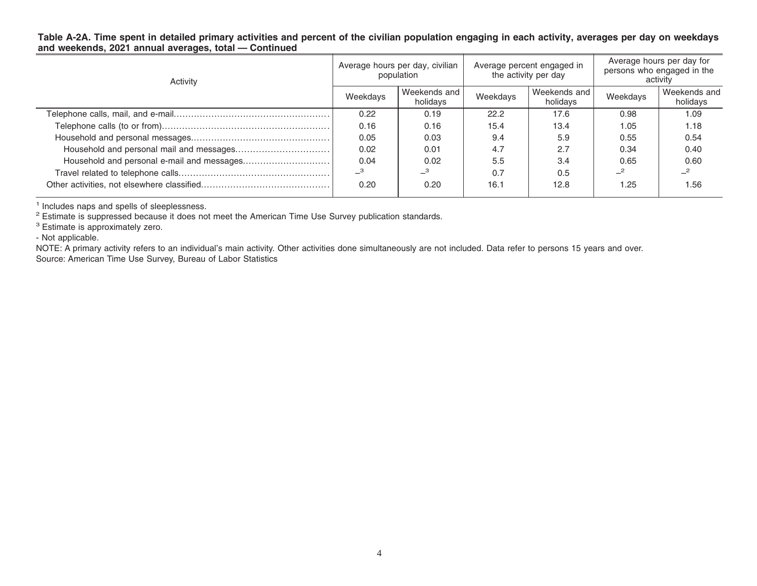### Table A-2A. Time spent in detailed primary activities and percent of the civilian population engaging in each activity, averages per day on weekdays **and weekends, 2021 annual averages, total — Continued**

| Activity | Average hours per day, civilian<br>population |                          | Average percent engaged in<br>the activity per day |                          | Average hours per day for<br>persons who engaged in the<br>activity |                          |
|----------|-----------------------------------------------|--------------------------|----------------------------------------------------|--------------------------|---------------------------------------------------------------------|--------------------------|
|          | Weekdays                                      | Weekends and<br>holidays | Weekdays                                           | Weekends and<br>holidays | Weekdays                                                            | Weekends and<br>holidays |
|          | 0.22                                          | 0.19                     | 22.2                                               | 17.6                     | 0.98                                                                | 1.09                     |
|          | 0.16                                          | 0.16                     | 15.4                                               | 13.4                     | 1.05                                                                | 1.18                     |
|          | 0.05                                          | 0.03                     | 9.4                                                | 5.9                      | 0.55                                                                | 0.54                     |
|          | 0.02                                          | 0.01                     | 4.7                                                | 2.7                      | 0.34                                                                | 0.40                     |
|          | 0.04                                          | 0.02                     | 5.5                                                | 3.4                      | 0.65                                                                | 0.60                     |
|          | $\overline{\phantom{0}}^3$                    | $-{}^3$                  | 0.7                                                | 0.5                      |                                                                     |                          |
|          | 0.20                                          | 0.20                     | 16.1                                               | 12.8                     | 1.25                                                                | 1.56                     |

<sup>1</sup> Includes naps and spells of sleeplessness.<br><sup>2</sup> Estimate is suppressed because it does not meet the American Time Use Survey publication standards.

<sup>3</sup> Estimate is approximately zero.

- Not applicable.

NOTE: A primary activity refers to an individual's main activity. Other activities done simultaneously are not included. Data refer to persons 15 years and over. Source: American Time Use Survey, Bureau of Labor Statistics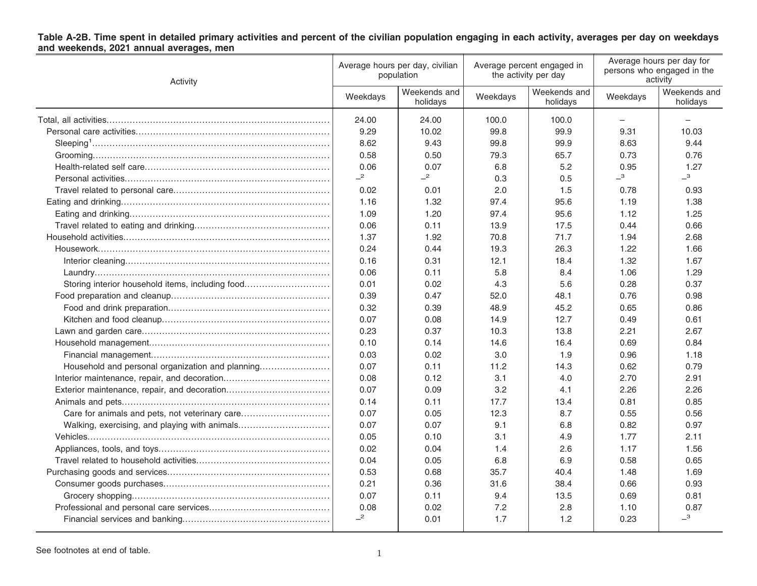# Table A-2B. Time spent in detailed primary activities and percent of the civilian population engaging in each activity, averages per day on weekdays<br>and weekends, 2021 annual averages, men

| Activity                                         | Average hours per day, civilian<br>population |                          | Average percent engaged in<br>the activity per day |                          | Average hours per day for<br>persons who engaged in the<br>activity |                          |
|--------------------------------------------------|-----------------------------------------------|--------------------------|----------------------------------------------------|--------------------------|---------------------------------------------------------------------|--------------------------|
|                                                  | Weekdays                                      | Weekends and<br>holidays | Weekdays                                           | Weekends and<br>holidays | Weekdays                                                            | Weekends and<br>holidays |
|                                                  | 24.00                                         | 24.00                    | 100.0                                              | 100.0                    |                                                                     |                          |
|                                                  | 9.29                                          | 10.02                    | 99.8                                               | 99.9                     | 9.31                                                                | 10.03                    |
|                                                  | 8.62                                          | 9.43                     | 99.8                                               | 99.9                     | 8.63                                                                | 9.44                     |
|                                                  | 0.58                                          | 0.50                     | 79.3                                               | 65.7                     | 0.73                                                                | 0.76                     |
|                                                  | 0.06                                          | 0.07                     | 6.8                                                | 5.2                      | 0.95                                                                | 1.27                     |
|                                                  | $-2$                                          | $-2$                     | 0.3                                                | 0.5                      | $-$ <sup>3</sup>                                                    | $-3$                     |
|                                                  | 0.02                                          | 0.01                     | 2.0                                                | 1.5                      | 0.78                                                                | 0.93                     |
|                                                  | 1.16                                          | 1.32                     | 97.4                                               | 95.6                     | 1.19                                                                | 1.38                     |
|                                                  | 1.09                                          | 1.20                     | 97.4                                               | 95.6                     | 1.12                                                                | 1.25                     |
|                                                  | 0.06                                          | 0.11                     | 13.9                                               | 17.5                     | 0.44                                                                | 0.66                     |
|                                                  | 1.37                                          | 1.92                     | 70.8                                               | 71.7                     | 1.94                                                                | 2.68                     |
|                                                  | 0.24                                          | 0.44                     | 19.3                                               | 26.3                     | 1.22                                                                | 1.66                     |
|                                                  | 0.16                                          | 0.31                     | 12.1                                               | 18.4                     | 1.32                                                                | 1.67                     |
|                                                  | 0.06                                          | 0.11                     | 5.8                                                | 8.4                      | 1.06                                                                | 1.29                     |
| Storing interior household items, including food | 0.01                                          | 0.02                     | 4.3                                                | 5.6                      | 0.28                                                                | 0.37                     |
|                                                  | 0.39                                          | 0.47                     | 52.0                                               | 48.1                     | 0.76                                                                | 0.98                     |
|                                                  | 0.32                                          | 0.39                     | 48.9                                               | 45.2                     | 0.65                                                                | 0.86                     |
|                                                  | 0.07                                          | 0.08                     | 14.9                                               | 12.7                     | 0.49                                                                | 0.61                     |
|                                                  | 0.23                                          | 0.37                     | 10.3                                               | 13.8                     | 2.21                                                                | 2.67                     |
|                                                  | 0.10                                          | 0.14                     | 14.6                                               | 16.4                     | 0.69                                                                | 0.84                     |
|                                                  | 0.03                                          | 0.02                     | 3.0                                                | 1.9                      | 0.96                                                                | 1.18                     |
| Household and personal organization and planning | 0.07                                          | 0.11                     | 11.2                                               | 14.3                     | 0.62                                                                | 0.79                     |
|                                                  | 0.08                                          | 0.12                     | 3.1                                                | 4.0                      | 2.70                                                                | 2.91                     |
|                                                  | 0.07                                          | 0.09                     | 3.2                                                | 4.1                      | 2.26                                                                | 2.26                     |
|                                                  | 0.14                                          | 0.11                     | 17.7                                               | 13.4                     | 0.81                                                                | 0.85                     |
| Care for animals and pets, not veterinary care   | 0.07                                          | 0.05                     | 12.3                                               | 8.7                      | 0.55                                                                | 0.56                     |
| Walking, exercising, and playing with animals    | 0.07                                          | 0.07                     | 9.1                                                | 6.8                      | 0.82                                                                | 0.97                     |
|                                                  | 0.05                                          | 0.10                     | 3.1                                                | 4.9                      | 1.77                                                                | 2.11                     |
|                                                  | 0.02                                          | 0.04                     | 1.4                                                | 2.6                      | 1.17                                                                | 1.56                     |
|                                                  | 0.04                                          | 0.05                     | 6.8                                                | 6.9                      | 0.58                                                                | 0.65                     |
|                                                  | 0.53                                          | 0.68                     | 35.7                                               | 40.4                     | 1.48                                                                | 1.69                     |
|                                                  | 0.21                                          | 0.36                     | 31.6                                               | 38.4                     | 0.66                                                                | 0.93                     |
|                                                  | 0.07                                          | 0.11                     | 9.4                                                | 13.5                     | 0.69                                                                | 0.81                     |
|                                                  | 0.08                                          | 0.02                     | 7.2                                                | 2.8                      | 1.10                                                                | 0.87                     |
|                                                  | $-2$                                          | 0.01                     | 1.7                                                | 1.2                      | 0.23                                                                | $-3$                     |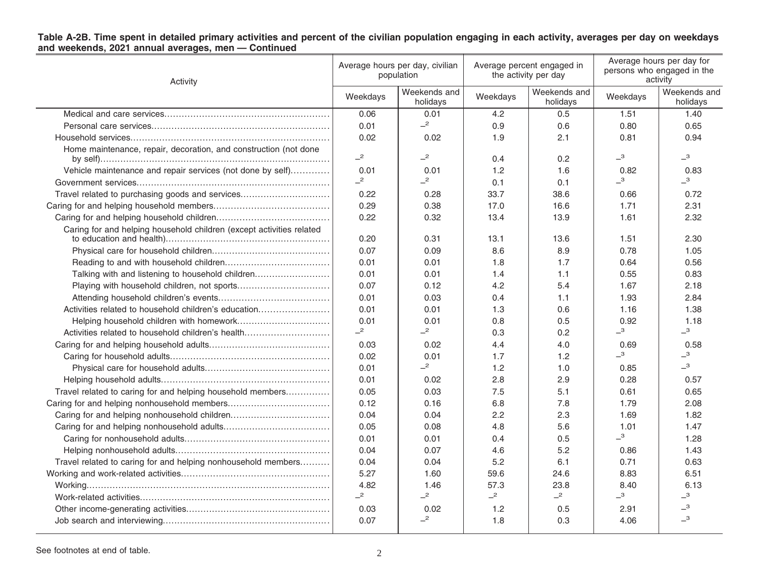| Table A-2B. Time spent in detailed primary activities and percent of the civilian population engaging in each activity, averages per day on weekdays |  |  |
|------------------------------------------------------------------------------------------------------------------------------------------------------|--|--|
| and weekends, 2021 annual averages, men - Continued                                                                                                  |  |  |

| Activity                                                             | Average hours per day, civilian<br>population |                          | Average percent engaged in<br>the activity per day |                          | Average hours per day for<br>persons who engaged in the<br>activity |                              |
|----------------------------------------------------------------------|-----------------------------------------------|--------------------------|----------------------------------------------------|--------------------------|---------------------------------------------------------------------|------------------------------|
|                                                                      | Weekdays                                      | Weekends and<br>holidays | Weekdays                                           | Weekends and<br>holidays | Weekdays                                                            | Weekends and<br>holidays     |
|                                                                      | 0.06                                          | 0.01                     | 4.2                                                | 0.5                      | 1.51                                                                | 1.40                         |
|                                                                      | 0.01                                          | $-2$                     | 0.9                                                | 0.6                      | 0.80                                                                | 0.65                         |
|                                                                      | 0.02                                          | 0.02                     | 1.9                                                | 2.1                      | 0.81                                                                | 0.94                         |
| Home maintenance, repair, decoration, and construction (not done     | $-2$                                          | $-2$                     | 0.4                                                | 0.2                      | $\overline{\phantom{0}}^3$                                          | $\overline{\phantom{0}}^3$   |
| Vehicle maintenance and repair services (not done by self)           | 0.01                                          | 0.01                     | 1.2                                                | 1.6                      | 0.82                                                                | 0.83                         |
|                                                                      | $-2$                                          | $-2$                     | 0.1                                                | 0.1                      | $\overline{\phantom{0}}^3$                                          | $\overline{\phantom{0}}^3$   |
| Travel related to purchasing goods and services                      | 0.22                                          | 0.28                     | 33.7                                               | 38.6                     | 0.66                                                                | 0.72                         |
|                                                                      | 0.29                                          | 0.38                     | 17.0                                               | 16.6                     | 1.71                                                                | 2.31                         |
|                                                                      | 0.22                                          | 0.32                     | 13.4                                               | 13.9                     | 1.61                                                                | 2.32                         |
| Caring for and helping household children (except activities related |                                               |                          |                                                    |                          |                                                                     |                              |
|                                                                      | 0.20                                          | 0.31                     | 13.1                                               | 13.6                     | 1.51                                                                | 2.30                         |
|                                                                      | 0.07                                          | 0.09                     | 8.6                                                | 8.9                      | 0.78                                                                | 1.05                         |
|                                                                      | 0.01                                          | 0.01                     | 1.8                                                | 1.7                      | 0.64                                                                | 0.56                         |
| Talking with and listening to household children                     | 0.01                                          | 0.01                     | 1.4                                                | 1.1                      | 0.55                                                                | 0.83                         |
|                                                                      | 0.07                                          | 0.12                     | 4.2                                                | 5.4                      | 1.67                                                                | 2.18                         |
|                                                                      | 0.01                                          | 0.03                     | 0.4                                                | 1.1                      | 1.93                                                                | 2.84                         |
| Activities related to household children's education                 | 0.01                                          | 0.01                     | 1.3                                                | 0.6                      | 1.16                                                                | 1.38                         |
|                                                                      | 0.01                                          | 0.01                     | 0.8                                                | 0.5                      | 0.92                                                                | 1.18                         |
| Activities related to household children's health                    | $-2$                                          | $-2$                     | 0.3                                                | 0.2                      | $\overline{\phantom{0}}^3$                                          | $\overline{\phantom{0}}^{3}$ |
|                                                                      | 0.03                                          | 0.02                     | 4.4                                                | 4.0                      | 0.69                                                                | 0.58                         |
|                                                                      | 0.02                                          | 0.01                     | 1.7                                                | 1.2                      | $\overline{\phantom{0}}^3$                                          | $\overline{\phantom{0}}^3$   |
|                                                                      | 0.01                                          | $-2$                     | 1.2                                                | 1.0                      | 0.85                                                                | $-3$                         |
|                                                                      | 0.01                                          | 0.02                     | 2.8                                                | 2.9                      | 0.28                                                                | 0.57                         |
| Travel related to caring for and helping household members           | 0.05                                          | 0.03                     | 7.5                                                | 5.1                      | 0.61                                                                | 0.65                         |
|                                                                      | 0.12                                          | 0.16                     | 6.8                                                | 7.8                      | 1.79                                                                | 2.08                         |
|                                                                      | 0.04                                          | 0.04                     | 2.2                                                | 2.3                      | 1.69                                                                | 1.82                         |
|                                                                      | 0.05                                          | 0.08                     | 4.8                                                | 5.6                      | 1.01                                                                | 1.47                         |
|                                                                      | 0.01                                          | 0.01                     | 0.4                                                | 0.5                      | $\overline{\phantom{0}}^3$                                          | 1.28                         |
|                                                                      | 0.04                                          | 0.07                     | 4.6                                                | 5.2                      | 0.86                                                                | 1.43                         |
| Travel related to caring for and helping nonhousehold members        | 0.04                                          | 0.04                     | 5.2                                                | 6.1                      | 0.71                                                                | 0.63                         |
|                                                                      | 5.27                                          | 1.60                     | 59.6                                               | 24.6                     | 8.83                                                                | 6.51                         |
|                                                                      | 4.82                                          | 1.46                     | 57.3                                               | 23.8                     | 8.40                                                                | 6.13                         |
|                                                                      | $\overline{\phantom{0}}^2$                    | $-2$                     | $-2$                                               | $-2$                     | $\overline{\phantom{0}}^3$                                          | $\overline{\phantom{0}}^3$   |
|                                                                      | 0.03                                          | 0.02                     | 1.2                                                | 0.5                      | 2.91                                                                | $\overline{\phantom{0}}^3$   |
|                                                                      | 0.07                                          | $-2$                     | 1.8                                                | 0.3                      | 4.06                                                                | $\overline{\phantom{0}}^3$   |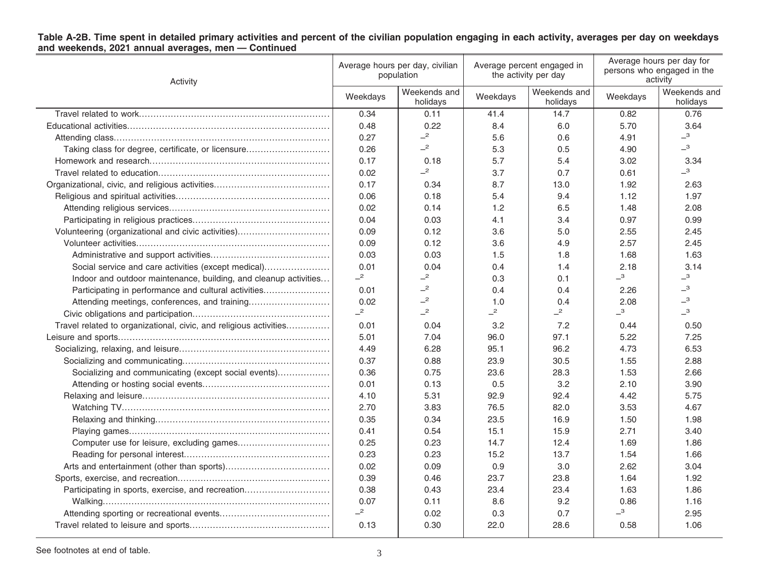| Activity                                                          | Average hours per day, civilian<br>population |                            | Average percent engaged in<br>the activity per day |                          | Average hours per day for<br>persons who engaged in the<br>activity |                              |
|-------------------------------------------------------------------|-----------------------------------------------|----------------------------|----------------------------------------------------|--------------------------|---------------------------------------------------------------------|------------------------------|
|                                                                   | Weekdays                                      | Weekends and<br>holidays   | Weekdays                                           | Weekends and<br>holidays | Weekdays                                                            | Weekends and<br>holidays     |
|                                                                   | 0.34                                          | 0.11                       | 41.4                                               | 14.7                     | 0.82                                                                | 0.76                         |
|                                                                   | 0.48                                          | 0.22                       | 8.4                                                | 6.0                      | 5.70                                                                | 3.64                         |
|                                                                   | 0.27                                          | $\overline{\phantom{0}}^2$ | 5.6                                                | 0.6                      | 4.91                                                                | $-3$                         |
| Taking class for degree, certificate, or licensure                | 0.26                                          | $\overline{c}$             | 5.3                                                | 0.5                      | 4.90                                                                | $-3$                         |
|                                                                   | 0.17                                          | 0.18                       | 5.7                                                | 5.4                      | 3.02                                                                | 3.34                         |
|                                                                   | 0.02                                          | $\overline{\phantom{0}}^2$ | 3.7                                                | 0.7                      | 0.61                                                                | $\overline{\phantom{0}}^3$   |
|                                                                   | 0.17                                          | 0.34                       | 8.7                                                | 13.0                     | 1.92                                                                | 2.63                         |
|                                                                   | 0.06                                          | 0.18                       | 5.4                                                | 9.4                      | 1.12                                                                | 1.97                         |
|                                                                   | 0.02                                          | 0.14                       | 1.2                                                | 6.5                      | 1.48                                                                | 2.08                         |
|                                                                   | 0.04                                          | 0.03                       | 4.1                                                | 3.4                      | 0.97                                                                | 0.99                         |
| Volunteering (organizational and civic activities)                | 0.09                                          | 0.12                       | 3.6                                                | 5.0                      | 2.55                                                                | 2.45                         |
|                                                                   | 0.09                                          | 0.12                       | 3.6                                                | 4.9                      | 2.57                                                                | 2.45                         |
|                                                                   | 0.03                                          | 0.03                       | 1.5                                                | 1.8                      | 1.68                                                                | 1.63                         |
| Social service and care activities (except medical)               | 0.01                                          | 0.04                       | 0.4                                                | 1.4                      | 2.18                                                                | 3.14                         |
| Indoor and outdoor maintenance, building, and cleanup activities  | $-2$                                          | $\overline{\phantom{0}}^2$ | 0.3                                                | 0.1                      | $-3$                                                                | $-3$                         |
| Participating in performance and cultural activities              | 0.01                                          | $\overline{\phantom{0}}^2$ | 0.4                                                | 0.4                      | 2.26                                                                | $\overline{\phantom{0}}^3$   |
| Attending meetings, conferences, and training                     | 0.02                                          | $\overline{\phantom{0}}^2$ | 1.0                                                | 0.4                      | 2.08                                                                | $\overline{\phantom{0}}^{3}$ |
|                                                                   | $-2$                                          | $\overline{\phantom{0}}^2$ | $-2$                                               | $-2$                     | $\overline{\phantom{0}}^3$                                          | $\overline{\phantom{0}}^{3}$ |
| Travel related to organizational, civic, and religious activities | 0.01                                          | 0.04                       | 3.2                                                | 7.2                      | 0.44                                                                | 0.50                         |
|                                                                   | 5.01                                          | 7.04                       | 96.0                                               | 97.1                     | 5.22                                                                | 7.25                         |
|                                                                   | 4.49                                          | 6.28                       | 95.1                                               | 96.2                     | 4.73                                                                | 6.53                         |
|                                                                   | 0.37                                          | 0.88                       | 23.9                                               | 30.5                     | 1.55                                                                | 2.88                         |
| Socializing and communicating (except social events)              | 0.36                                          | 0.75                       | 23.6                                               | 28.3                     | 1.53                                                                | 2.66                         |
|                                                                   | 0.01                                          | 0.13                       | 0.5                                                | 3.2                      | 2.10                                                                | 3.90                         |
|                                                                   | 4.10                                          | 5.31                       | 92.9                                               | 92.4                     | 4.42                                                                | 5.75                         |
|                                                                   | 2.70                                          | 3.83                       | 76.5                                               | 82.0                     | 3.53                                                                | 4.67                         |
|                                                                   | 0.35                                          | 0.34                       | 23.5                                               | 16.9                     | 1.50                                                                | 1.98                         |
|                                                                   | 0.41                                          | 0.54                       | 15.1                                               | 15.9                     | 2.71                                                                | 3.40                         |
|                                                                   | 0.25                                          | 0.23                       | 14.7                                               | 12.4                     | 1.69                                                                | 1.86                         |
|                                                                   | 0.23                                          | 0.23                       | 15.2                                               | 13.7                     | 1.54                                                                | 1.66                         |
|                                                                   | 0.02                                          | 0.09                       | 0.9                                                | 3.0                      | 2.62                                                                | 3.04                         |
|                                                                   | 0.39                                          | 0.46                       | 23.7                                               | 23.8                     | 1.64                                                                | 1.92                         |
| Participating in sports, exercise, and recreation                 | 0.38                                          | 0.43                       | 23.4                                               | 23.4                     | 1.63                                                                | 1.86                         |
|                                                                   | 0.07                                          | 0.11                       | 8.6                                                | 9.2                      | 0.86                                                                | 1.16                         |
|                                                                   | $-2$                                          | 0.02                       | 0.3                                                | 0.7                      | $-3$                                                                | 2.95                         |
|                                                                   | 0.13                                          | 0.30                       | 22.0                                               | 28.6                     | 0.58                                                                | 1.06                         |

# Table A-2B. Time spent in detailed primary activities and percent of the civilian population engaging in each activity, averages per day on weekdays<br>and weekends, 2021 annual averages, men — Continued

See footnotes at end of table. 3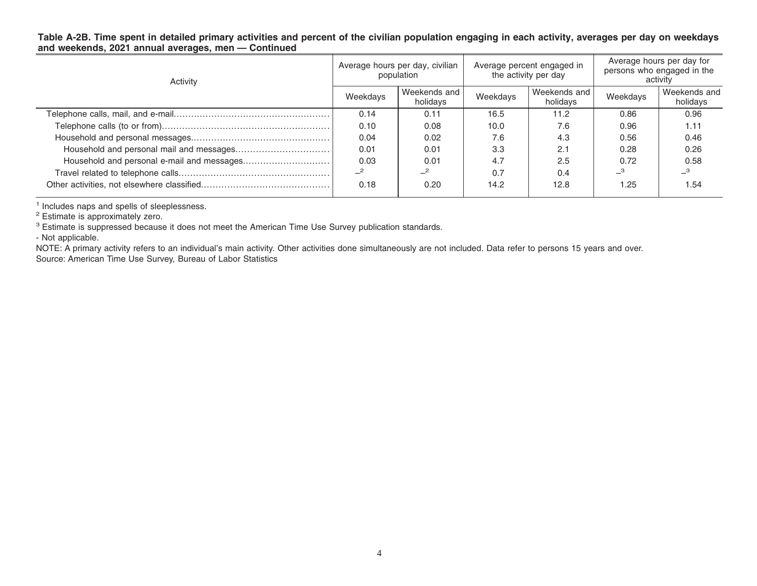### Table A-2B. Time spent in detailed primary activities and percent of the civilian population engaging in each activity, averages per day on weekdays **and weekends, 2021 annual averages, men — Continued**

| Activity | Average hours per day, civilian<br>population |                            | Average percent engaged in<br>the activity per day |                          | Average hours per day for<br>persons who engaged in the<br>activity |                          |
|----------|-----------------------------------------------|----------------------------|----------------------------------------------------|--------------------------|---------------------------------------------------------------------|--------------------------|
|          | Weekdays                                      | Weekends and<br>holidays   | Weekdays                                           | Weekends and<br>holidays | Weekdays                                                            | Weekends and<br>holidays |
|          | 0.14                                          | 0.11                       | 16.5                                               | 11.2                     | 0.86                                                                | 0.96                     |
|          | 0.10                                          | 0.08                       | 10.0                                               | 7.6                      | 0.96                                                                | 1.11                     |
|          | 0.04                                          | 0.02                       | 7.6                                                | 4.3                      | 0.56                                                                | 0.46                     |
|          | 0.01                                          | 0.01                       | 3.3                                                | 2.1                      | 0.28                                                                | 0.26                     |
|          | 0.03                                          | 0.01                       | 4.7                                                | 2.5                      | 0.72                                                                | 0.58                     |
|          |                                               | $\overline{\phantom{0}}^2$ | 0.7                                                | 0.4                      |                                                                     |                          |
|          | 0.18                                          | 0.20                       | 14.2                                               | 12.8                     | 1.25                                                                | 1.54                     |

<sup>1</sup> Includes naps and spells of sleeplessness.<br><sup>2</sup> Estimate is approximately zero.

 ${}^{3}$  Estimate is suppressed because it does not meet the American Time Use Survey publication standards.

- Not applicable.

NOTE: A primary activity refers to an individual's main activity. Other activities done simultaneously are not included. Data refer to persons 15 years and over. Source: American Time Use Survey, Bureau of Labor Statistics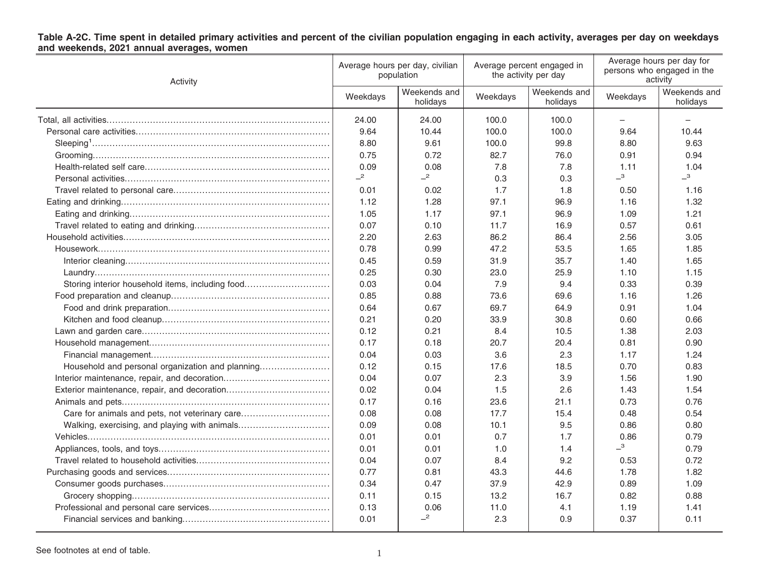# Table A-2C. Time spent in detailed primary activities and percent of the civilian population engaging in each activity, averages per day on weekdays<br>and weekends, 2021 annual averages, women

| Activity                                         | Average hours per day, civilian<br>population |                          | Average percent engaged in<br>the activity per day |                          | Average hours per day for<br>persons who engaged in the<br>activity |                            |
|--------------------------------------------------|-----------------------------------------------|--------------------------|----------------------------------------------------|--------------------------|---------------------------------------------------------------------|----------------------------|
|                                                  | Weekdays                                      | Weekends and<br>holidays | Weekdays                                           | Weekends and<br>holidays | Weekdays                                                            | Weekends and<br>holidays   |
|                                                  | 24.00                                         | 24.00                    | 100.0                                              | 100.0                    |                                                                     |                            |
|                                                  | 9.64                                          | 10.44                    | 100.0                                              | 100.0                    | 9.64                                                                | 10.44                      |
|                                                  | 8.80                                          | 9.61                     | 100.0                                              | 99.8                     | 8.80                                                                | 9.63                       |
|                                                  | 0.75                                          | 0.72                     | 82.7                                               | 76.0                     | 0.91                                                                | 0.94                       |
|                                                  | 0.09                                          | 0.08                     | 7.8                                                | 7.8                      | 1.11                                                                | 1.04                       |
|                                                  | $-2$                                          | $-2$                     | 0.3                                                | 0.3                      | $\overline{\phantom{0}}^3$                                          | $\overline{\phantom{0}}^3$ |
|                                                  | 0.01                                          | 0.02                     | 1.7                                                | 1.8                      | 0.50                                                                | 1.16                       |
|                                                  | 1.12                                          | 1.28                     | 97.1                                               | 96.9                     | 1.16                                                                | 1.32                       |
|                                                  | 1.05                                          | 1.17                     | 97.1                                               | 96.9                     | 1.09                                                                | 1.21                       |
|                                                  | 0.07                                          | 0.10                     | 11.7                                               | 16.9                     | 0.57                                                                | 0.61                       |
|                                                  | 2.20                                          | 2.63                     | 86.2                                               | 86.4                     | 2.56                                                                | 3.05                       |
|                                                  | 0.78                                          | 0.99                     | 47.2                                               | 53.5                     | 1.65                                                                | 1.85                       |
|                                                  | 0.45                                          | 0.59                     | 31.9                                               | 35.7                     | 1.40                                                                | 1.65                       |
|                                                  | 0.25                                          | 0.30                     | 23.0                                               | 25.9                     | 1.10                                                                | 1.15                       |
| Storing interior household items, including food | 0.03                                          | 0.04                     | 7.9                                                | 9.4                      | 0.33                                                                | 0.39                       |
|                                                  | 0.85                                          | 0.88                     | 73.6                                               | 69.6                     | 1.16                                                                | 1.26                       |
|                                                  | 0.64                                          | 0.67                     | 69.7                                               | 64.9                     | 0.91                                                                | 1.04                       |
|                                                  | 0.21                                          | 0.20                     | 33.9                                               | 30.8                     | 0.60                                                                | 0.66                       |
|                                                  | 0.12                                          | 0.21                     | 8.4                                                | 10.5                     | 1.38                                                                | 2.03                       |
|                                                  | 0.17                                          | 0.18                     | 20.7                                               | 20.4                     | 0.81                                                                | 0.90                       |
|                                                  | 0.04                                          | 0.03                     | 3.6                                                | 2.3                      | 1.17                                                                | 1.24                       |
| Household and personal organization and planning | 0.12                                          | 0.15                     | 17.6                                               | 18.5                     | 0.70                                                                | 0.83                       |
|                                                  | 0.04                                          | 0.07                     | 2.3                                                | 3.9                      | 1.56                                                                | 1.90                       |
|                                                  | 0.02                                          | 0.04                     | 1.5                                                | 2.6                      | 1.43                                                                | 1.54                       |
|                                                  | 0.17                                          | 0.16                     | 23.6                                               | 21.1                     | 0.73                                                                | 0.76                       |
| Care for animals and pets, not veterinary care   | 0.08                                          | 0.08                     | 17.7                                               | 15.4                     | 0.48                                                                | 0.54                       |
| Walking, exercising, and playing with animals    | 0.09                                          | 0.08                     | 10.1                                               | 9.5                      | 0.86                                                                | 0.80                       |
|                                                  | 0.01                                          | 0.01                     | 0.7                                                | 1.7                      | 0.86                                                                | 0.79                       |
|                                                  | 0.01                                          | 0.01                     | 1.0                                                | 1.4                      | $\overline{\phantom{0}}^3$                                          | 0.79                       |
|                                                  | 0.04                                          | 0.07                     | 8.4                                                | 9.2                      | 0.53                                                                | 0.72                       |
|                                                  | 0.77                                          | 0.81                     | 43.3                                               | 44.6                     | 1.78                                                                | 1.82                       |
|                                                  | 0.34                                          | 0.47                     | 37.9                                               | 42.9                     | 0.89                                                                | 1.09                       |
|                                                  | 0.11                                          | 0.15                     | 13.2                                               | 16.7                     | 0.82                                                                | 0.88                       |
|                                                  | 0.13                                          | 0.06                     | 11.0                                               | 4.1                      | 1.19                                                                | 1.41                       |
|                                                  | 0.01                                          | $-2$                     | 2.3                                                | 0.9                      | 0.37                                                                | 0.11                       |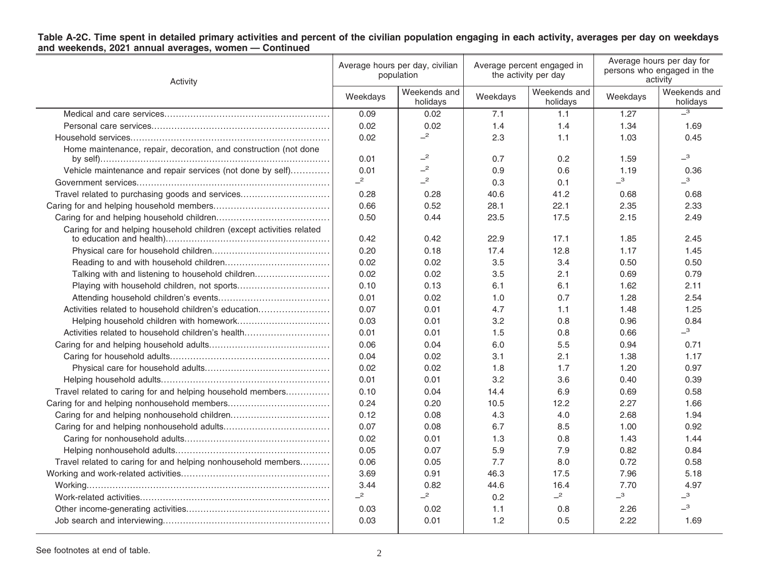| Table A-2C. Time spent in detailed primary activities and percent of the civilian population engaging in each activity, averages per day on weekdays |  |  |
|------------------------------------------------------------------------------------------------------------------------------------------------------|--|--|
| and weekends, 2021 annual averages, women - Continued                                                                                                |  |  |

| Activity                                                             | Average hours per day, civilian<br>population |                          | Average percent engaged in<br>the activity per day |                          | Average hours per day for<br>persons who engaged in the<br>activity |                              |
|----------------------------------------------------------------------|-----------------------------------------------|--------------------------|----------------------------------------------------|--------------------------|---------------------------------------------------------------------|------------------------------|
|                                                                      | Weekdays                                      | Weekends and<br>holidays | Weekdays                                           | Weekends and<br>holidays | Weekdays                                                            | Weekends and<br>holidays     |
|                                                                      | 0.09                                          | 0.02                     | 7.1                                                | 1.1                      | 1.27                                                                | $\overline{\phantom{0}}^3$   |
|                                                                      | 0.02                                          | 0.02                     | 1.4                                                | 1.4                      | 1.34                                                                | 1.69                         |
|                                                                      | 0.02                                          | $-2$                     | 2.3                                                | 1.1                      | 1.03                                                                | 0.45                         |
| Home maintenance, repair, decoration, and construction (not done     |                                               |                          |                                                    |                          |                                                                     |                              |
|                                                                      | 0.01                                          | $-2$                     | 0.7                                                | 0.2                      | 1.59                                                                | $-3$                         |
| Vehicle maintenance and repair services (not done by self)           | 0.01                                          | $-2$                     | 0.9                                                | 0.6                      | 1.19                                                                | 0.36                         |
|                                                                      | $-2$                                          | $-2$                     | 0.3                                                | 0.1                      | $\overline{\phantom{0}}^3$                                          | $\overline{\phantom{0}}^3$   |
| Travel related to purchasing goods and services                      | 0.28                                          | 0.28                     | 40.6                                               | 41.2                     | 0.68                                                                | 0.68                         |
|                                                                      | 0.66                                          | 0.52                     | 28.1                                               | 22.1                     | 2.35                                                                | 2.33                         |
|                                                                      | 0.50                                          | 0.44                     | 23.5                                               | 17.5                     | 2.15                                                                | 2.49                         |
| Caring for and helping household children (except activities related | 0.42                                          | 0.42                     | 22.9                                               | 17.1                     | 1.85                                                                | 2.45                         |
|                                                                      | 0.20                                          | 0.18                     | 17.4                                               | 12.8                     | 1.17                                                                | 1.45                         |
|                                                                      | 0.02                                          | 0.02                     | 3.5                                                | 3.4                      | 0.50                                                                | 0.50                         |
| Talking with and listening to household children                     | 0.02                                          | 0.02                     | 3.5                                                | 2.1                      | 0.69                                                                | 0.79                         |
|                                                                      | 0.10                                          | 0.13                     | 6.1                                                | 6.1                      | 1.62                                                                | 2.11                         |
|                                                                      | 0.01                                          | 0.02                     | 1.0                                                | 0.7                      | 1.28                                                                | 2.54                         |
| Activities related to household children's education                 | 0.07                                          | 0.01                     | 4.7                                                | 1.1                      | 1.48                                                                | 1.25                         |
| Helping household children with homework                             | 0.03                                          | 0.01                     | 3.2                                                | 0.8                      | 0.96                                                                | 0.84                         |
| Activities related to household children's health                    | 0.01                                          | 0.01                     | 1.5                                                | 0.8                      | 0.66                                                                | $-3$                         |
|                                                                      | 0.06                                          | 0.04                     | 6.0                                                | 5.5                      | 0.94                                                                | 0.71                         |
|                                                                      | 0.04                                          | 0.02                     | 3.1                                                | 2.1                      | 1.38                                                                | 1.17                         |
|                                                                      | 0.02                                          | 0.02                     | 1.8                                                | 1.7                      | 1.20                                                                | 0.97                         |
|                                                                      | 0.01                                          | 0.01                     | 3.2                                                | 3.6                      | 0.40                                                                | 0.39                         |
| Travel related to caring for and helping household members           | 0.10                                          | 0.04                     | 14.4                                               | 6.9                      | 0.69                                                                | 0.58                         |
|                                                                      | 0.24                                          | 0.20                     | 10.5                                               | 12.2                     | 2.27                                                                | 1.66                         |
|                                                                      | 0.12                                          | 0.08                     | 4.3                                                | 4.0                      | 2.68                                                                | 1.94                         |
|                                                                      | 0.07                                          | 0.08                     | 6.7                                                | 8.5                      | 1.00                                                                | 0.92                         |
|                                                                      | 0.02                                          | 0.01                     | 1.3                                                | 0.8                      | 1.43                                                                | 1.44                         |
|                                                                      | 0.05                                          | 0.07                     | 5.9                                                | 7.9                      | 0.82                                                                | 0.84                         |
| Travel related to caring for and helping nonhousehold members        | 0.06                                          | 0.05                     | 7.7                                                | 8.0                      | 0.72                                                                | 0.58                         |
|                                                                      | 3.69                                          | 0.91                     | 46.3                                               | 17.5                     | 7.96                                                                | 5.18                         |
|                                                                      | 3.44                                          | 0.82                     | 44.6                                               | 16.4                     | 7.70                                                                | 4.97                         |
|                                                                      | $-2$                                          | $-2$                     | 0.2                                                | $-2$                     | $\overline{\phantom{0}}^3$                                          | $\overline{\phantom{0}}^3$   |
|                                                                      | 0.03                                          | 0.02                     | 1.1                                                | 0.8                      | 2.26                                                                | $\overline{\phantom{0}}^{3}$ |
|                                                                      | 0.03                                          | 0.01                     | 1.2                                                | 0.5                      | 2.22                                                                | 1.69                         |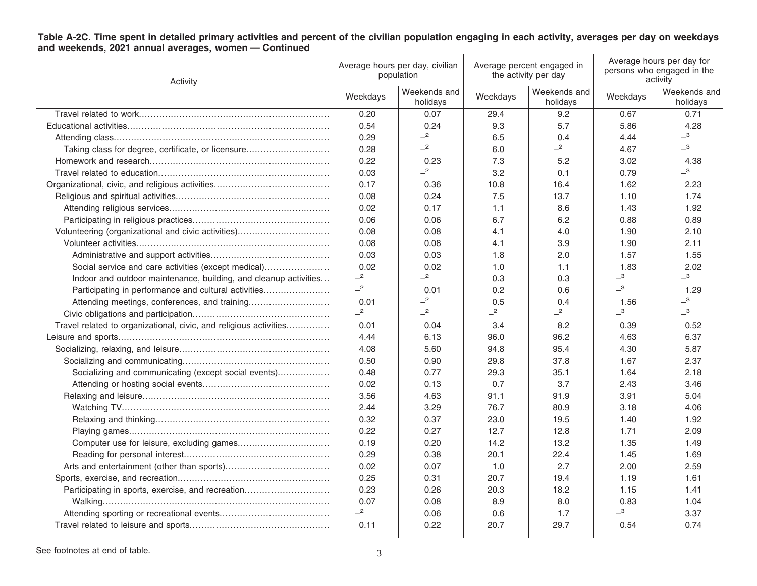|                                                       |  | Table A-2C. Time spent in detailed primary activities and percent of the civilian population engaging in each activity, averages per day on weekdays |
|-------------------------------------------------------|--|------------------------------------------------------------------------------------------------------------------------------------------------------|
| and weekends, 2021 annual averages, women - Continued |  |                                                                                                                                                      |

| Activity                                                          | Average hours per day, civilian<br>population |                          | Average percent engaged in<br>the activity per day |                          | Average hours per day for<br>persons who engaged in the<br>activity |                              |
|-------------------------------------------------------------------|-----------------------------------------------|--------------------------|----------------------------------------------------|--------------------------|---------------------------------------------------------------------|------------------------------|
|                                                                   | Weekdays                                      | Weekends and<br>holidays | Weekdays                                           | Weekends and<br>holidays | Weekdays                                                            | Weekends and<br>holidays     |
|                                                                   | 0.20                                          | 0.07                     | 29.4                                               | 9.2                      | 0.67                                                                | 0.71                         |
|                                                                   | 0.54                                          | 0.24                     | 9.3                                                | 5.7                      | 5.86                                                                | 4.28                         |
|                                                                   | 0.29                                          | $\overline{c}$           | 6.5                                                | 0.4                      | 4.44                                                                | $\overline{\phantom{0}}^{3}$ |
| Taking class for degree, certificate, or licensure                | 0.28                                          | $-2$                     | 6.0                                                | $-2$                     | 4.67                                                                | $\overline{\phantom{0}}^3$   |
|                                                                   | 0.22                                          | 0.23                     | 7.3                                                | 5.2                      | 3.02                                                                | 4.38                         |
|                                                                   | 0.03                                          | $-2$                     | 3.2                                                | 0.1                      | 0.79                                                                | $\overline{\phantom{0}}^3$   |
|                                                                   | 0.17                                          | 0.36                     | 10.8                                               | 16.4                     | 1.62                                                                | 2.23                         |
|                                                                   | 0.08                                          | 0.24                     | 7.5                                                | 13.7                     | 1.10                                                                | 1.74                         |
|                                                                   | 0.02                                          | 0.17                     | 1.1                                                | 8.6                      | 1.43                                                                | 1.92                         |
|                                                                   | 0.06                                          | 0.06                     | 6.7                                                | 6.2                      | 0.88                                                                | 0.89                         |
| Volunteering (organizational and civic activities)                | 0.08                                          | 0.08                     | 4.1                                                | 4.0                      | 1.90                                                                | 2.10                         |
|                                                                   | 0.08                                          | 0.08                     | 4.1                                                | 3.9                      | 1.90                                                                | 2.11                         |
|                                                                   | 0.03                                          | 0.03                     | 1.8                                                | 2.0                      | 1.57                                                                | 1.55                         |
| Social service and care activities (except medical)               | 0.02                                          | 0.02                     | 1.0                                                | 1.1                      | 1.83                                                                | 2.02                         |
| Indoor and outdoor maintenance, building, and cleanup activities  | $-2$                                          | $-2$                     | 0.3                                                | 0.3                      | $\overline{\phantom{0}}^3$                                          | $\overline{\phantom{0}}^3$   |
| Participating in performance and cultural activities              | $-2$                                          | 0.01                     | 0.2                                                | 0.6                      | $\overline{\phantom{0}}^3$                                          | 1.29                         |
|                                                                   | 0.01                                          | $-2$                     | 0.5                                                | 0.4                      | 1.56                                                                | $\overline{\phantom{0}}^3$   |
|                                                                   | $-2$                                          | $-2$                     | $-2$                                               | $-2$                     | $\overline{\phantom{0}}^3$                                          | $-3$                         |
| Travel related to organizational, civic, and religious activities | 0.01                                          | 0.04                     | 3.4                                                | 8.2                      | 0.39                                                                | 0.52                         |
|                                                                   | 4.44                                          | 6.13                     | 96.0                                               | 96.2                     | 4.63                                                                | 6.37                         |
|                                                                   | 4.08                                          | 5.60                     | 94.8                                               | 95.4                     | 4.30                                                                | 5.87                         |
|                                                                   | 0.50                                          | 0.90                     | 29.8                                               | 37.8                     | 1.67                                                                | 2.37                         |
| Socializing and communicating (except social events)              | 0.48                                          | 0.77                     | 29.3                                               | 35.1                     | 1.64                                                                | 2.18                         |
|                                                                   | 0.02                                          | 0.13                     | 0.7                                                | 3.7                      | 2.43                                                                | 3.46                         |
|                                                                   | 3.56                                          | 4.63                     | 91.1                                               | 91.9                     | 3.91                                                                | 5.04                         |
|                                                                   | 2.44                                          | 3.29                     | 76.7                                               | 80.9                     | 3.18                                                                | 4.06                         |
|                                                                   | 0.32                                          | 0.37                     | 23.0                                               | 19.5                     | 1.40                                                                | 1.92                         |
|                                                                   | 0.22                                          | 0.27                     | 12.7                                               | 12.8                     | 1.71                                                                | 2.09                         |
|                                                                   | 0.19                                          | 0.20                     | 14.2                                               | 13.2                     | 1.35                                                                | 1.49                         |
|                                                                   | 0.29                                          | 0.38                     | 20.1                                               | 22.4                     | 1.45                                                                | 1.69                         |
|                                                                   | 0.02                                          | 0.07                     | 1.0                                                | 2.7                      | 2.00                                                                | 2.59                         |
|                                                                   | 0.25                                          | 0.31                     | 20.7                                               | 19.4                     | 1.19                                                                | 1.61                         |
| Participating in sports, exercise, and recreation                 | 0.23                                          | 0.26                     | 20.3                                               | 18.2                     | 1.15                                                                | 1.41                         |
|                                                                   | 0.07                                          | 0.08                     | 8.9                                                | 8.0                      | 0.83                                                                | 1.04                         |
|                                                                   | $-2$                                          | 0.06                     | 0.6                                                | 1.7                      | $\overline{\phantom{0}}^3$                                          | 3.37                         |
|                                                                   | 0.11                                          | 0.22                     | 20.7                                               | 29.7                     | 0.54                                                                | 0.74                         |